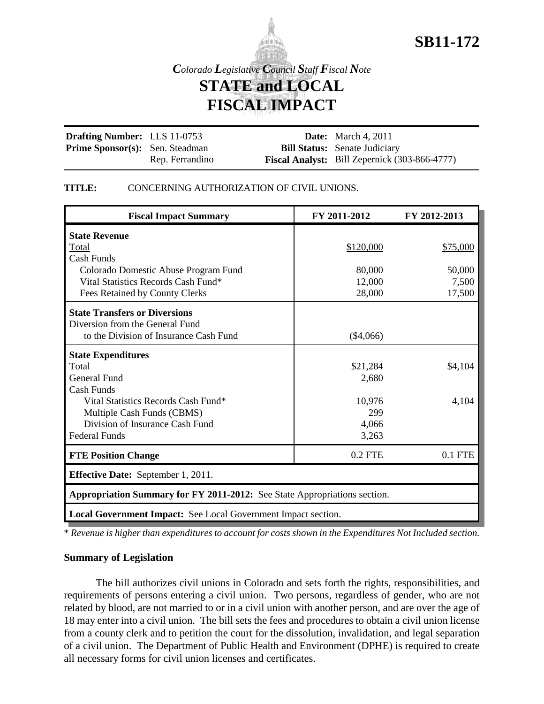

# **SB11-172**

*Colorado Legislative Council Staff Fiscal Note* **STATE and LOCAL FISCAL IMPACT**

**Drafting Number:** LLS 11-0753 Prime Sponsor(s): Sen. Steadman Rep. Ferrandino **Date:** March 4, 2011 **Bill Status:** Senate Judiciary **Fiscal Analyst:** Bill Zepernick (303-866-4777)

#### **TITLE:** CONCERNING AUTHORIZATION OF CIVIL UNIONS.

| <b>Fiscal Impact Summary</b>                                              | FY 2011-2012 | FY 2012-2013 |  |
|---------------------------------------------------------------------------|--------------|--------------|--|
| <b>State Revenue</b>                                                      |              |              |  |
| Total                                                                     | \$120,000    | \$75,000     |  |
| Cash Funds                                                                |              |              |  |
| Colorado Domestic Abuse Program Fund                                      | 80,000       | 50,000       |  |
| Vital Statistics Records Cash Fund*                                       | 12,000       | 7,500        |  |
| Fees Retained by County Clerks                                            | 28,000       | 17,500       |  |
| <b>State Transfers or Diversions</b>                                      |              |              |  |
| Diversion from the General Fund                                           |              |              |  |
| to the Division of Insurance Cash Fund                                    | $(\$4,066)$  |              |  |
| <b>State Expenditures</b>                                                 |              |              |  |
| Total                                                                     | \$21,284     | \$4,104      |  |
| <b>General Fund</b>                                                       | 2,680        |              |  |
| <b>Cash Funds</b>                                                         |              |              |  |
| Vital Statistics Records Cash Fund*                                       | 10,976       | 4,104        |  |
| Multiple Cash Funds (CBMS)                                                | 299          |              |  |
| Division of Insurance Cash Fund                                           | 4,066        |              |  |
| <b>Federal Funds</b>                                                      | 3,263        |              |  |
| <b>FTE Position Change</b>                                                | $0.2$ FTE    | $0.1$ FTE    |  |
| <b>Effective Date:</b> September 1, 2011.                                 |              |              |  |
| Appropriation Summary for FY 2011-2012: See State Appropriations section. |              |              |  |
| Local Government Impact: See Local Government Impact section.             |              |              |  |

\* *Revenue is higher than expenditures to account for costs shown in the Expenditures Not Included section.*

#### **Summary of Legislation**

The bill authorizes civil unions in Colorado and sets forth the rights, responsibilities, and requirements of persons entering a civil union. Two persons, regardless of gender, who are not related by blood, are not married to or in a civil union with another person, and are over the age of 18 may enter into a civil union. The bill sets the fees and procedures to obtain a civil union license from a county clerk and to petition the court for the dissolution, invalidation, and legal separation of a civil union. The Department of Public Health and Environment (DPHE) is required to create all necessary forms for civil union licenses and certificates.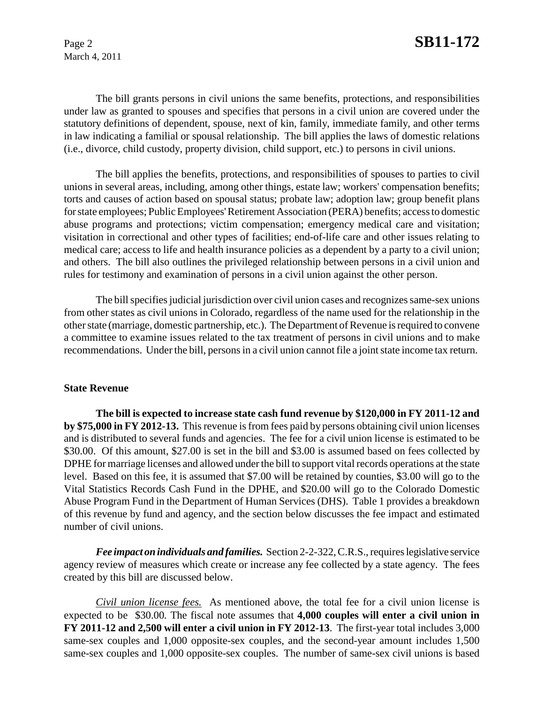March 4, 2011

The bill grants persons in civil unions the same benefits, protections, and responsibilities under law as granted to spouses and specifies that persons in a civil union are covered under the statutory definitions of dependent, spouse, next of kin, family, immediate family, and other terms in law indicating a familial or spousal relationship. The bill applies the laws of domestic relations (i.e., divorce, child custody, property division, child support, etc.) to persons in civil unions.

The bill applies the benefits, protections, and responsibilities of spouses to parties to civil unions in several areas, including, among other things, estate law; workers' compensation benefits; torts and causes of action based on spousal status; probate law; adoption law; group benefit plans for state employees; Public Employees' Retirement Association (PERA) benefits; access to domestic abuse programs and protections; victim compensation; emergency medical care and visitation; visitation in correctional and other types of facilities; end-of-life care and other issues relating to medical care; access to life and health insurance policies as a dependent by a party to a civil union; and others. The bill also outlines the privileged relationship between persons in a civil union and rules for testimony and examination of persons in a civil union against the other person.

The bill specifies judicial jurisdiction over civil union cases and recognizes same-sex unions from other states as civil unions in Colorado, regardless of the name used for the relationship in the other state (marriage, domestic partnership, etc.). The Department of Revenue is required to convene a committee to examine issues related to the tax treatment of persons in civil unions and to make recommendations. Under the bill, persons in a civil union cannot file a joint state income tax return.

#### **State Revenue**

**The bill is expected to increase state cash fund revenue by \$120,000 in FY 2011-12 and by \$75,000 in FY 2012-13.** This revenue is from fees paid by persons obtaining civil union licenses and is distributed to several funds and agencies. The fee for a civil union license is estimated to be \$30.00. Of this amount, \$27.00 is set in the bill and \$3.00 is assumed based on fees collected by DPHE for marriage licenses and allowed under the bill to support vital records operations at the state level. Based on this fee, it is assumed that \$7.00 will be retained by counties, \$3.00 will go to the Vital Statistics Records Cash Fund in the DPHE, and \$20.00 will go to the Colorado Domestic Abuse Program Fund in the Department of Human Services (DHS). Table 1 provides a breakdown of this revenue by fund and agency, and the section below discusses the fee impact and estimated number of civil unions.

*Fee impact on individuals and families.* Section 2-2-322, C.R.S., requires legislative service agency review of measures which create or increase any fee collected by a state agency. The fees created by this bill are discussed below.

*Civil union license fees.* As mentioned above, the total fee for a civil union license is expected to be \$30.00*.* The fiscal note assumes that **4,000 couples will enter a civil union in FY 2011-12 and 2,500 will enter a civil union in FY 2012-13**. The first-year total includes 3,000 same-sex couples and 1,000 opposite-sex couples, and the second-year amount includes 1,500 same-sex couples and 1,000 opposite-sex couples. The number of same-sex civil unions is based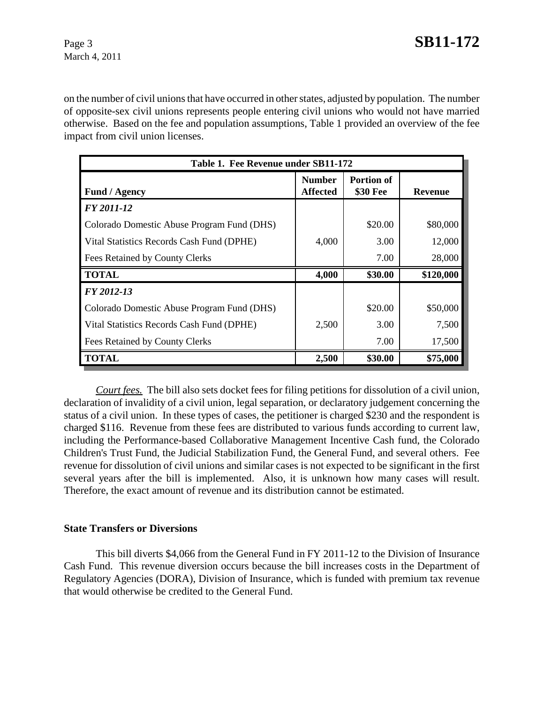on the number of civil unions that have occurred in other states, adjusted by population. The number of opposite-sex civil unions represents people entering civil unions who would not have married otherwise. Based on the fee and population assumptions, Table 1 provided an overview of the fee impact from civil union licenses.

| Table 1. Fee Revenue under SB11-172        |                           |                               |                |
|--------------------------------------------|---------------------------|-------------------------------|----------------|
| <b>Fund / Agency</b>                       | <b>Number</b><br>Affected | <b>Portion of</b><br>\$30 Fee | <b>Revenue</b> |
| FY 2011-12                                 |                           |                               |                |
| Colorado Domestic Abuse Program Fund (DHS) |                           | \$20.00                       | \$80,000       |
| Vital Statistics Records Cash Fund (DPHE)  | 4,000                     | 3.00                          | 12,000         |
| Fees Retained by County Clerks             |                           | 7.00                          | 28,000         |
| <b>TOTAL</b>                               | 4,000                     | \$30.00                       | \$120,000      |
| FY 2012-13                                 |                           |                               |                |
| Colorado Domestic Abuse Program Fund (DHS) |                           | \$20.00                       | \$50,000       |
| Vital Statistics Records Cash Fund (DPHE)  | 2,500                     | 3.00                          | 7,500          |
| Fees Retained by County Clerks             |                           | 7.00                          | 17,500         |
| <b>TOTAL</b>                               | 2,500                     | \$30.00                       | \$75,000       |

*Court fees.* The bill also sets docket fees for filing petitions for dissolution of a civil union, declaration of invalidity of a civil union, legal separation, or declaratory judgement concerning the status of a civil union. In these types of cases, the petitioner is charged \$230 and the respondent is charged \$116. Revenue from these fees are distributed to various funds according to current law, including the Performance-based Collaborative Management Incentive Cash fund, the Colorado Children's Trust Fund, the Judicial Stabilization Fund, the General Fund, and several others. Fee revenue for dissolution of civil unions and similar cases is not expected to be significant in the first several years after the bill is implemented. Also, it is unknown how many cases will result. Therefore, the exact amount of revenue and its distribution cannot be estimated.

#### **State Transfers or Diversions**

This bill diverts \$4,066 from the General Fund in FY 2011-12 to the Division of Insurance Cash Fund. This revenue diversion occurs because the bill increases costs in the Department of Regulatory Agencies (DORA), Division of Insurance, which is funded with premium tax revenue that would otherwise be credited to the General Fund.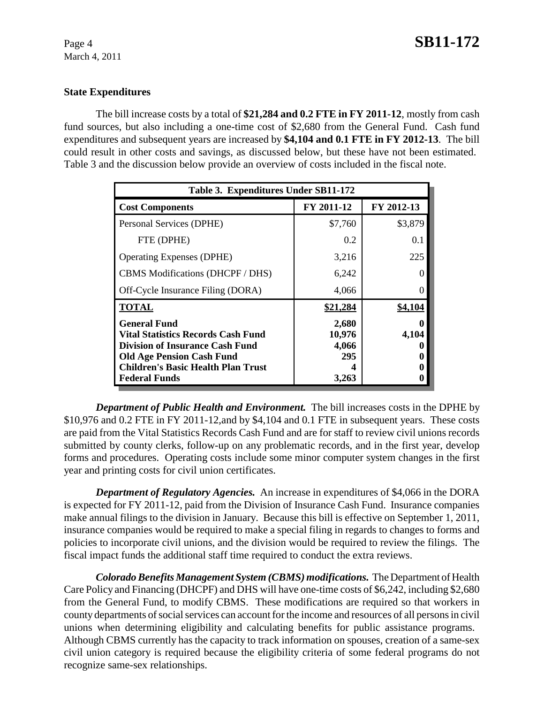## **State Expenditures**

The bill increase costs by a total of **\$21,284 and 0.2 FTE in FY 2011-12**, mostly from cash fund sources, but also including a one-time cost of \$2,680 from the General Fund. Cash fund expenditures and subsequent years are increased by **\$4,104 and 0.1 FTE in FY 2012-13**. The bill could result in other costs and savings, as discussed below, but these have not been estimated. Table 3 and the discussion below provide an overview of costs included in the fiscal note.

| Table 3. Expenditures Under SB11-172                                                                                                                                                                         |                                          |            |  |
|--------------------------------------------------------------------------------------------------------------------------------------------------------------------------------------------------------------|------------------------------------------|------------|--|
| <b>Cost Components</b>                                                                                                                                                                                       | FY 2011-12                               | FY 2012-13 |  |
| Personal Services (DPHE)                                                                                                                                                                                     | \$7,760                                  | \$3,879    |  |
| FTE (DPHE)                                                                                                                                                                                                   | 0.2                                      | 0.1        |  |
| <b>Operating Expenses (DPHE)</b>                                                                                                                                                                             | 3,216                                    | 225        |  |
| <b>CBMS</b> Modifications (DHCPF / DHS)                                                                                                                                                                      | 6,242                                    |            |  |
| Off-Cycle Insurance Filing (DORA)                                                                                                                                                                            | 4,066                                    |            |  |
| <b>TOTAL</b>                                                                                                                                                                                                 | \$21,284                                 | \$4,104    |  |
| <b>General Fund</b><br>Vital Statistics Records Cash Fund<br><b>Division of Insurance Cash Fund</b><br><b>Old Age Pension Cash Fund</b><br><b>Children's Basic Health Plan Trust</b><br><b>Federal Funds</b> | 2,680<br>10,976<br>4,066<br>295<br>3,263 | 4,104      |  |

*Department of Public Health and Environment.* The bill increases costs in the DPHE by \$10,976 and 0.2 FTE in FY 2011-12,and by \$4,104 and 0.1 FTE in subsequent years. These costs are paid from the Vital Statistics Records Cash Fund and are for staff to review civil unions records submitted by county clerks, follow-up on any problematic records, and in the first year, develop forms and procedures. Operating costs include some minor computer system changes in the first year and printing costs for civil union certificates.

*Department of Regulatory Agencies.* An increase in expenditures of \$4,066 in the DORA is expected for FY 2011-12, paid from the Division of Insurance Cash Fund. Insurance companies make annual filings to the division in January. Because this bill is effective on September 1, 2011, insurance companies would be required to make a special filing in regards to changes to forms and policies to incorporate civil unions, and the division would be required to review the filings. The fiscal impact funds the additional staff time required to conduct the extra reviews.

*Colorado Benefits Management System (CBMS) modifications.* The Department of Health Care Policy and Financing (DHCPF) and DHS will have one-time costs of \$6,242, including \$2,680 from the General Fund, to modify CBMS. These modifications are required so that workers in county departments of social services can account for the income and resources of all persons in civil unions when determining eligibility and calculating benefits for public assistance programs. Although CBMS currently has the capacity to track information on spouses, creation of a same-sex civil union category is required because the eligibility criteria of some federal programs do not recognize same-sex relationships.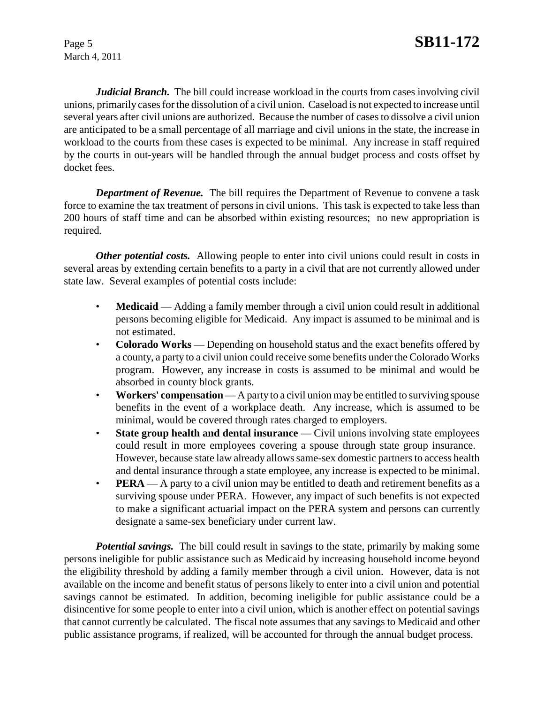March 4, 2011

*Judicial Branch.* The bill could increase workload in the courts from cases involving civil unions, primarily cases for the dissolution of a civil union. Caseload is not expected to increase until several years after civil unions are authorized. Because the number of cases to dissolve a civil union are anticipated to be a small percentage of all marriage and civil unions in the state, the increase in workload to the courts from these cases is expected to be minimal. Any increase in staff required by the courts in out-years will be handled through the annual budget process and costs offset by docket fees.

*Department of Revenue.* The bill requires the Department of Revenue to convene a task force to examine the tax treatment of persons in civil unions. This task is expected to take less than 200 hours of staff time and can be absorbed within existing resources; no new appropriation is required.

*Other potential costs.* Allowing people to enter into civil unions could result in costs in several areas by extending certain benefits to a party in a civil that are not currently allowed under state law. Several examples of potential costs include:

- **Medicaid** Adding a family member through a civil union could result in additional persons becoming eligible for Medicaid. Any impact is assumed to be minimal and is not estimated.
- **Colorado Works** Depending on household status and the exact benefits offered by a county, a party to a civil union could receive some benefits under the Colorado Works program. However, any increase in costs is assumed to be minimal and would be absorbed in county block grants.
- Workers' compensation A party to a civil union may be entitled to surviving spouse benefits in the event of a workplace death. Any increase, which is assumed to be minimal, would be covered through rates charged to employers.
- **State group health and dental insurance** Civil unions involving state employees could result in more employees covering a spouse through state group insurance. However, because state law already allows same-sex domestic partners to access health and dental insurance through a state employee, any increase is expected to be minimal.
- **PERA** A party to a civil union may be entitled to death and retirement benefits as a surviving spouse under PERA. However, any impact of such benefits is not expected to make a significant actuarial impact on the PERA system and persons can currently designate a same-sex beneficiary under current law.

*Potential savings.* The bill could result in savings to the state, primarily by making some persons ineligible for public assistance such as Medicaid by increasing household income beyond the eligibility threshold by adding a family member through a civil union. However, data is not available on the income and benefit status of persons likely to enter into a civil union and potential savings cannot be estimated. In addition, becoming ineligible for public assistance could be a disincentive for some people to enter into a civil union, which is another effect on potential savings that cannot currently be calculated. The fiscal note assumes that any savings to Medicaid and other public assistance programs, if realized, will be accounted for through the annual budget process.